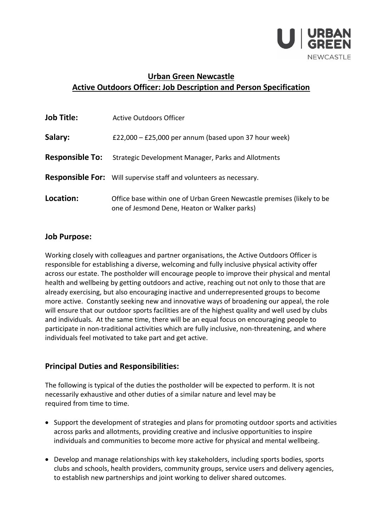

## **Urban Green Newcastle Active Outdoors Officer: Job Description and Person Specification**

| <b>Job Title:</b>      | Active Outdoors Officer                                                                                                |
|------------------------|------------------------------------------------------------------------------------------------------------------------|
| Salary:                | £22,000 $-$ £25,000 per annum (based upon 37 hour week)                                                                |
| <b>Responsible To:</b> | Strategic Development Manager, Parks and Allotments                                                                    |
|                        | <b>Responsible For:</b> Will supervise staff and volunteers as necessary.                                              |
| Location:              | Office base within one of Urban Green Newcastle premises (likely to be<br>one of Jesmond Dene, Heaton or Walker parks) |

## **Job Purpose:**

Working closely with colleagues and partner organisations, the Active Outdoors Officer is responsible for establishing a diverse, welcoming and fully inclusive physical activity offer across our estate. The postholder will encourage people to improve their physical and mental health and wellbeing by getting outdoors and active, reaching out not only to those that are already exercising, but also encouraging inactive and underrepresented groups to become more active. Constantly seeking new and innovative ways of broadening our appeal, the role will ensure that our outdoor sports facilities are of the highest quality and well used by clubs and individuals. At the same time, there will be an equal focus on encouraging people to participate in non-traditional activities which are fully inclusive, non-threatening, and where individuals feel motivated to take part and get active.

## **Principal Duties and Responsibilities:**

The following is typical of the duties the postholder will be expected to perform. It is not necessarily exhaustive and other duties of a similar nature and level may be required from time to time.

- Support the development of strategies and plans for promoting outdoor sports and activities across parks and allotments, providing creative and inclusive opportunities to inspire individuals and communities to become more active for physical and mental wellbeing.
- Develop and manage relationships with key stakeholders, including sports bodies, sports clubs and schools, health providers, community groups, service users and delivery agencies, to establish new partnerships and joint working to deliver shared outcomes.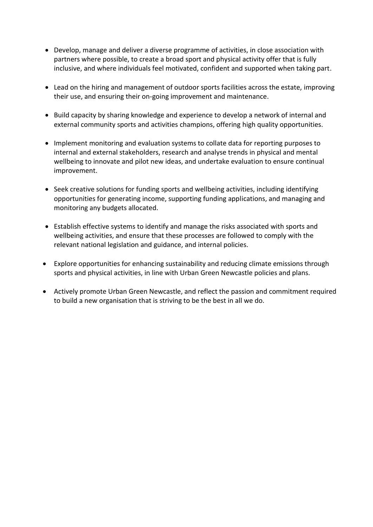- Develop, manage and deliver a diverse programme of activities, in close association with partners where possible, to create a broad sport and physical activity offer that is fully inclusive, and where individuals feel motivated, confident and supported when taking part.
- Lead on the hiring and management of outdoor sports facilities across the estate, improving their use, and ensuring their on-going improvement and maintenance.
- Build capacity by sharing knowledge and experience to develop a network of internal and external community sports and activities champions, offering high quality opportunities.
- Implement monitoring and evaluation systems to collate data for reporting purposes to internal and external stakeholders, research and analyse trends in physical and mental wellbeing to innovate and pilot new ideas, and undertake evaluation to ensure continual improvement.
- Seek creative solutions for funding sports and wellbeing activities, including identifying opportunities for generating income, supporting funding applications, and managing and monitoring any budgets allocated.
- Establish effective systems to identify and manage the risks associated with sports and wellbeing activities, and ensure that these processes are followed to comply with the relevant national legislation and guidance, and internal policies.
- Explore opportunities for enhancing sustainability and reducing climate emissions through sports and physical activities, in line with Urban Green Newcastle policies and plans.
- Actively promote Urban Green Newcastle, and reflect the passion and commitment required to build a new organisation that is striving to be the best in all we do.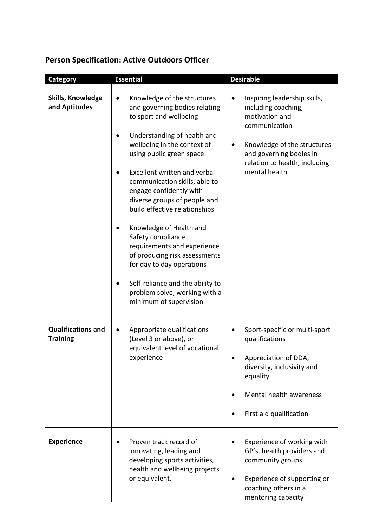## **Person Specification: Active Outdoors Officer**

| <b>Category</b>                              | <b>Essential</b>                                                                                                                                                                                                                                                                                                                                                                                                                                                                                                                                                                          | <b>Desirable</b>                                                                                                                                                                                                             |
|----------------------------------------------|-------------------------------------------------------------------------------------------------------------------------------------------------------------------------------------------------------------------------------------------------------------------------------------------------------------------------------------------------------------------------------------------------------------------------------------------------------------------------------------------------------------------------------------------------------------------------------------------|------------------------------------------------------------------------------------------------------------------------------------------------------------------------------------------------------------------------------|
| <b>Skills, Knowledge</b><br>and Aptitudes    | Knowledge of the structures<br>and governing bodies relating<br>to sport and wellbeing<br>Understanding of health and<br>wellbeing in the context of<br>using public green space<br>Excellent written and verbal<br>communication skills, able to<br>engage confidently with<br>diverse groups of people and<br>build effective relationships<br>Knowledge of Health and<br>Safety compliance<br>requirements and experience<br>of producing risk assessments<br>for day to day operations<br>Self-reliance and the ability to<br>problem solve, working with a<br>minimum of supervision | Inspiring leadership skills,<br>$\bullet$<br>including coaching,<br>motivation and<br>communication<br>Knowledge of the structures<br>$\bullet$<br>and governing bodies in<br>relation to health, including<br>mental health |
| <b>Qualifications and</b><br><b>Training</b> | Appropriate qualifications<br>$\bullet$<br>(Level 3 or above), or<br>equivalent level of vocational<br>experience                                                                                                                                                                                                                                                                                                                                                                                                                                                                         | Sport-specific or multi-sport<br>qualifications<br>Appreciation of DDA,<br>diversity, inclusivity and<br>equality<br>Mental health awareness<br>First aid qualification                                                      |
| <b>Experience</b>                            | Proven track record of<br>innovating, leading and<br>developing sports activities,<br>health and wellbeing projects<br>or equivalent.                                                                                                                                                                                                                                                                                                                                                                                                                                                     | Experience of working with<br>$\bullet$<br>GP's, health providers and<br>community groups<br>Experience of supporting or<br>$\bullet$<br>coaching others in a<br>mentoring capacity                                          |